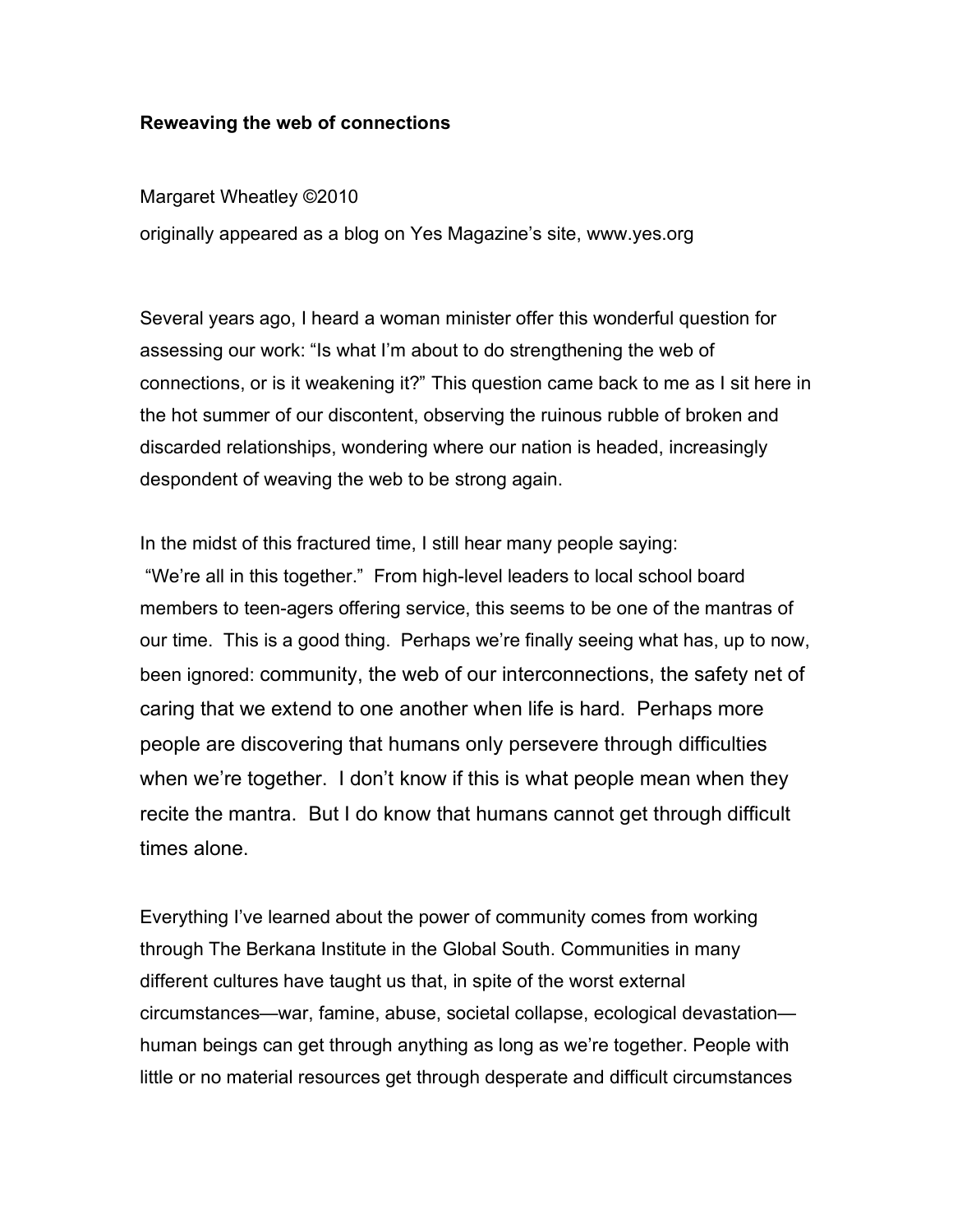## **Reweaving the web of connections**

Margaret Wheatley ©2010

originally appeared as a blog on Yes Magazine's site, www.yes.org

Several years ago, I heard a woman minister offer this wonderful question for assessing our work: "Is what I'm about to do strengthening the web of connections, or is it weakening it?" This question came back to me as I sit here in the hot summer of our discontent, observing the ruinous rubble of broken and discarded relationships, wondering where our nation is headed, increasingly despondent of weaving the web to be strong again.

In the midst of this fractured time, I still hear many people saying:

"We're all in this together." From high-level leaders to local school board members to teen-agers offering service, this seems to be one of the mantras of our time. This is a good thing. Perhaps we're finally seeing what has, up to now, been ignored: community, the web of our interconnections, the safety net of caring that we extend to one another when life is hard. Perhaps more people are discovering that humans only persevere through difficulties when we're together. I don't know if this is what people mean when they recite the mantra. But I do know that humans cannot get through difficult times alone.

Everything I've learned about the power of community comes from working through The Berkana Institute in the Global South. Communities in many different cultures have taught us that, in spite of the worst external circumstances—war, famine, abuse, societal collapse, ecological devastation human beings can get through anything as long as we're together. People with little or no material resources get through desperate and difficult circumstances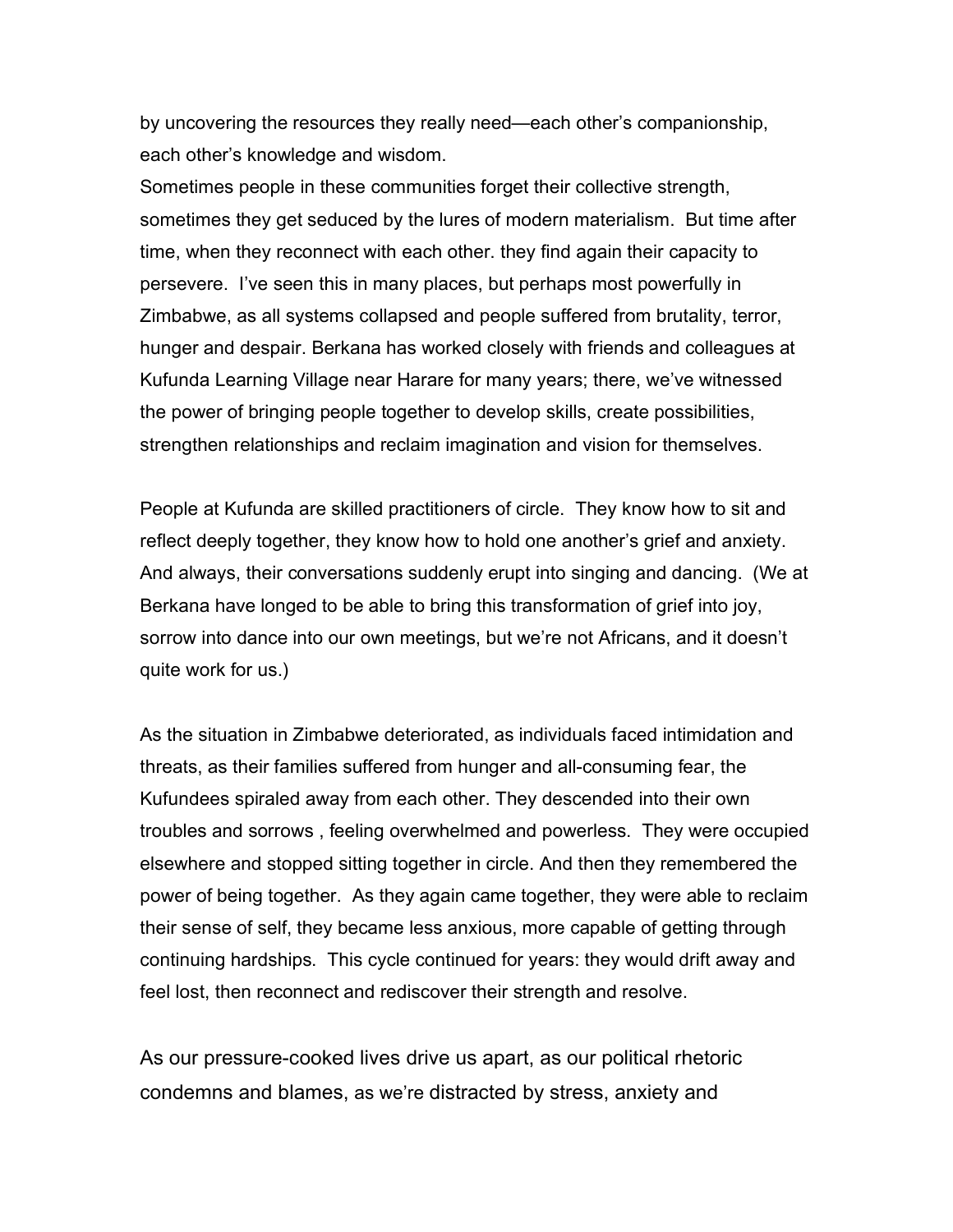by uncovering the resources they really need—each other's companionship, each other's knowledge and wisdom.

Sometimes people in these communities forget their collective strength, sometimes they get seduced by the lures of modern materialism. But time after time, when they reconnect with each other. they find again their capacity to persevere. I've seen this in many places, but perhaps most powerfully in Zimbabwe, as all systems collapsed and people suffered from brutality, terror, hunger and despair. Berkana has worked closely with friends and colleagues at Kufunda Learning Village near Harare for many years; there, we've witnessed the power of bringing people together to develop skills, create possibilities, strengthen relationships and reclaim imagination and vision for themselves.

People at Kufunda are skilled practitioners of circle. They know how to sit and reflect deeply together, they know how to hold one another's grief and anxiety. And always, their conversations suddenly erupt into singing and dancing. (We at Berkana have longed to be able to bring this transformation of grief into joy, sorrow into dance into our own meetings, but we're not Africans, and it doesn't quite work for us.)

As the situation in Zimbabwe deteriorated, as individuals faced intimidation and threats, as their families suffered from hunger and all-consuming fear, the Kufundees spiraled away from each other. They descended into their own troubles and sorrows , feeling overwhelmed and powerless. They were occupied elsewhere and stopped sitting together in circle. And then they remembered the power of being together. As they again came together, they were able to reclaim their sense of self, they became less anxious, more capable of getting through continuing hardships. This cycle continued for years: they would drift away and feel lost, then reconnect and rediscover their strength and resolve.

As our pressure-cooked lives drive us apart, as our political rhetoric condemns and blames, as we're distracted by stress, anxiety and